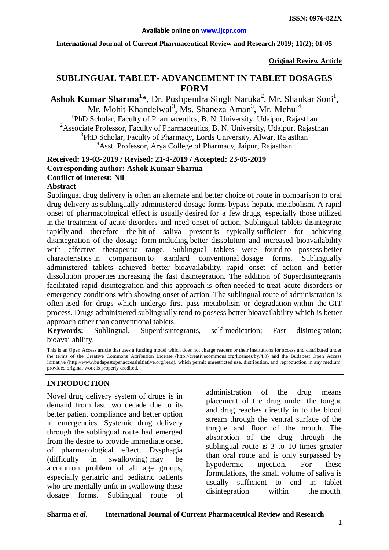#### **International Journal of Current Pharmaceutical Review and Research 2019; 11(2); 01-05**

**Original Review Article**

# **SUBLINGUAL TABLET- ADVANCEMENT IN TABLET DOSAGES FORM**

Ashok Kumar Sharma<sup>1\*</sup>, Dr. Pushpendra Singh Naruka<sup>2</sup>, Mr. Shankar Soni<sup>1</sup>, Mr. Mohit Khandelwal<sup>3</sup>, Ms. Shaneza Aman<sup>3</sup>, Mr. Mehul<sup>4</sup> <sup>1</sup>PhD Scholar, Faculty of Pharmaceutics, B. N. University, Udaipur, Rajasthan <sup>2</sup>Associate Professor, Faculty of Pharmaceutics, B. N. University, Udaipur, Rajasthan <sup>3</sup>PhD Scholar, Faculty of Pharmacy, Lords University, Alwar, Rajasthan <sup>4</sup>Asst. Professor, Arya College of Pharmacy, Jaipur, Rajasthan

#### **Received: 19-03-2019 / Revised: 21-4-2019 / Accepted: 23-05-2019 Corresponding author: Ashok Kumar Sharma Conflict of interest: Nil**

#### **Abstract**

Sublingual drug delivery is often an alternate and better choice of route in comparison to oral drug delivery as sublingually administered dosage forms bypass hepatic metabolism. A rapid onset of pharmacological effect is usually desired for a few drugs, especially those utilized in the treatment of acute disorders and need onset of action. Sublingual tablets disintegrate rapidly and therefore the bit of saliva present is typically sufficient for achieving disintegration of the dosage form including better dissolution and increased bioavailability with effective therapeutic range. Sublingual tablets were found to possess better characteristics in comparison to standard conventional dosage forms. Sublingually administered tablets achieved better bioavailability, rapid onset of action and better dissolution properties increasing the fast disintegration. The addition of Superdisintegrants facilitated rapid disintegration and this approach is often needed to treat acute disorders or emergency conditions with showing onset of action. The sublingual route of administration is often used for drugs which undergo first pass metabolism or degradation within the GIT process. Drugs administered sublingually tend to possess better bioavailability which is better approach other than conventional tablets.

**Keywords:** Sublingual, Superdisintegrants, self-medication; Fast disintegration; bioavailability.

This is an Open Access article that uses a funding model which does not charge readers or their institutions for access and distributed under the terms of the Creative Commons Attribution License (http://creativecommons.org/licenses/by/4.0) and the Budapest Open Access Initiative (http://www.budapestopenaccessinitiative.org/read), which permit unrestricted use, distribution, and reproduction in any medium, provided original work is properly credited.

### **INTRODUCTION**

Novel drug delivery system of drugs is in demand from last two decade due to its better patient compliance and better option in emergencies. Systemic drug delivery through the sublingual route had emerged from the desire to provide immediate onset of pharmacological effect. Dysphagia (difficulty in swallowing) may be a common problem of all age groups, especially geriatric and pediatric patients who are mentally unfit in swallowing these dosage forms. Sublingual route of administration of the drug means placement of the drug under the tongue and drug reaches directly in to the blood stream through the ventral surface of the tongue and floor of the mouth. The absorption of the drug through the sublingual route is 3 to 10 times greater than oral route and is only surpassed by hypodermic injection. For these formulations, the small volume of saliva is usually sufficient to end in tablet disintegration within the mouth.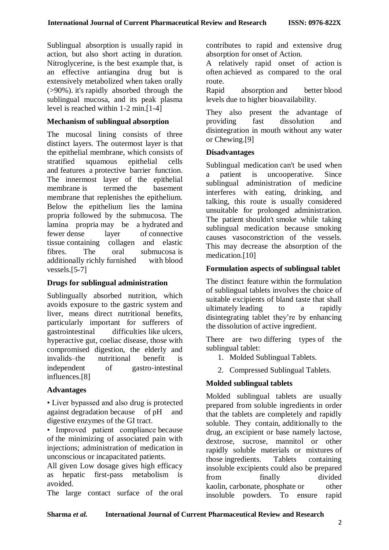Sublingual absorption is usually rapid in action, but also short acting in duration. Nitroglycerine, is the best example that, is an effective antiangina drug but is extensively metabolized when taken orally (>90%). it's rapidly absorbed through the sublingual mucosa, and its peak plasma level is reached within 1‐2 min.[1-4]

## **Mechanism of sublingual absorption**

The mucosal lining consists of three distinct layers. The outermost layer is that the epithelial membrane, which consists of stratified squamous epithelial cells and features a protective barrier function. The innermost layer of the epithelial membrane is termed the basement membrane that replenishes the epithelium. Below the epithelium lies the lamina propria followed by the submucosa. The lamina propria may be a hydrated and fewer dense layer of connective tissue containing collagen and elastic fibres. The oral submucosa is additionally richly furnished with blood vessels.[5-7]

### **Drugs for sublingual administration**

Sublingually absorbed nutrition, which avoids exposure to the gastric system and liver, means direct nutritional benefits, particularly important for sufferers of gastrointestinal difficulties like ulcers, hyperactive gut, coeliac disease, those with compromised digestion, the elderly and invalids–the nutritional benefit is independent of gastro-intestinal influences.[8]

### **Advantages**

• Liver bypassed and also drug is protected against degradation because of pH and digestive enzymes of the GI tract.

• Improved patient compliance because of the minimizing of associated pain with injections; administration of medication in unconscious or incapacitated patients.

All given Low dosage gives high efficacy as hepatic first-pass metabolism is avoided.

The large contact surface of the oral

contributes to rapid and extensive drug absorption for onset of Action.

A relatively rapid onset of action is often achieved as compared to the oral route.

Rapid absorption and better blood levels due to higher bioavailability.

They also present the advantage of providing fast dissolution and disintegration in mouth without any water or Chewing.[9]

### **Disadvantages**

Sublingual medication can't be used when a patient is uncooperative. Since sublingual administration of medicine interferes with eating, drinking, and talking, this route is usually considered unsuitable for prolonged administration. The patient shouldn't smoke while taking sublingual medication because smoking causes vasoconstriction of the vessels. This may decrease the absorption of the medication.[10]

## **Formulation aspects of sublingual tablet**

The distinct feature within the formulation of sublingual tablets involves the choice of suitable excipients of bland taste that shall ultimately leading to a rapidly disintegrating tablet they're by enhancing the dissolution of active ingredient.

There are two differing types of the sublingual tablet:

- 1. Molded Sublingual Tablets.
- 2. Compressed Sublingual Tablets.

## **Molded sublingual tablets**

Molded sublingual tablets are usually prepared from soluble ingredients in order that the tablets are completely and rapidly soluble. They contain, additionally to the drug, an excipient or base namely lactose, dextrose, sucrose, mannitol or other rapidly soluble materials or mixtures of those ingredients. Tablets containing insoluble excipients could also be prepared from finally divided kaolin, carbonate, phosphate or other insoluble powders. To ensure rapid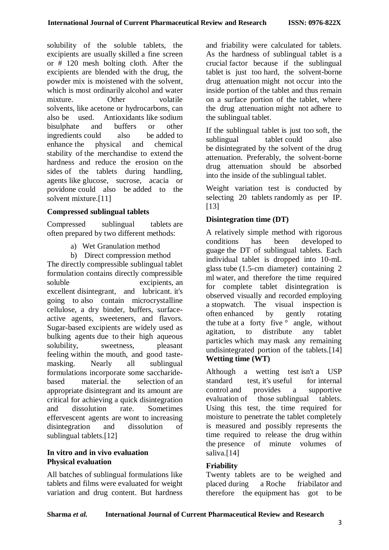solubility of the soluble tablets, the excipients are usually skilled a fine screen or # 120 mesh bolting cloth. After the excipients are blended with the drug, the powder mix is moistened with the solvent, which is most ordinarily alcohol and water mixture. Other volatile solvents, like acetone or hydrocarbons, can also be used. Antioxidants like sodium bisulphate and buffers or other ingredients could also be added to enhance the physical and chemical stability of the merchandise to extend the hardness and reduce the erosion on the sides of the tablets during handling, agents like glucose, sucrose, acacia or povidone could also be added to the solvent mixture.<sup>[11]</sup>

### **Compressed sublingual tablets**

Compressed sublingual tablets are often prepared by two different methods:

- a) Wet Granulation method
- b) Direct compression method

The directly compressible sublingual tablet formulation contains directly compressible soluble excipients, an excellent disintegrant, and lubricant. it's going to also contain microcrystalline cellulose, a dry binder, buffers, surfaceactive agents, sweeteners, and flavors. Sugar-based excipients are widely used as bulking agents due to their high aqueous solubility, sweetness, pleasant feeling within the mouth, and good tastemasking. Nearly all sublingual formulations incorporate some saccharidebased material. the selection of an appropriate disintegrant and its amount are critical for achieving a quick disintegration and dissolution rate. Sometimes effervescent agents are wont to increasing disintegration and dissolution of sublingual tablets.[12]

## **In vitro and in vivo evaluation Physical evaluation**

All batches of sublingual formulations like tablets and films were evaluated for weight variation and drug content. But hardness

and friability were calculated for tablets. As the hardness of sublingual tablet is a crucial factor because if the sublingual tablet is just too hard, the solvent-borne drug attenuation might not occur into the inside portion of the tablet and thus remain on a surface portion of the tablet, where the drug attenuation might not adhere to the sublingual tablet.

If the sublingual tablet is just too soft, the sublingual tablet could also be disintegrated by the solvent of the drug attenuation. Preferably, the solvent-borne drug attenuation should be absorbed into the inside of the sublingual tablet.

Weight variation test is conducted by selecting 20 tablets randomly as per IP. [13]

## **Disintegration time (DT)**

A relatively simple method with rigorous conditions has been developed to guage the DT of sublingual tablets. Each individual tablet is dropped into 10‐mL glass tube (1.5‐cm diameter) containing 2 ml water, and therefore the time required for complete tablet disintegration is observed visually and recorded employing a stopwatch. The visual inspection is often enhanced by gently rotating the tube at a forty five  $\circ$  angle, without agitation, to distribute any tablet particles which may mask any remaining undisintegrated portion of the tablets.[14] **Wetting time (WT)**

Although a wetting test isn't a USP standard test, it's useful for internal control and provides a supportive evaluation of those sublingual tablets. Using this test, the time required for moisture to penetrate the tablet completely is measured and possibly represents the time required to release the drug within the presence of minute volumes of saliva.<sup>[14]</sup>

### **Friability**

Twenty tablets are to be weighed and placed during a Roche friabilator and therefore the equipment has got to be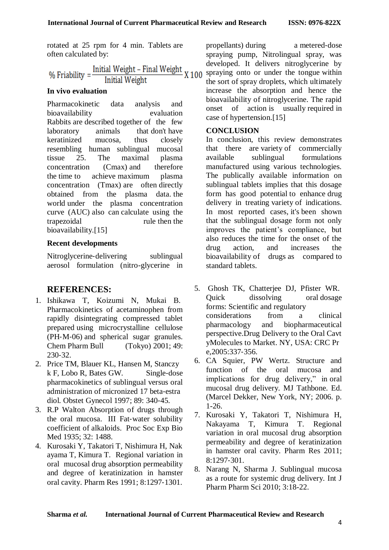rotated at 25 rpm for 4 min. Tablets are often calculated by:

% Friability =  $\frac{\text{Initial Weight} - \text{Final Weight}}{\text{Initial Weight}}$  X 100 Initial Weight

### **In vivo evaluation**

Pharmacokinetic data analysis and bioavailability evaluation Rabbits are described together of the few laboratory animals that don't have keratinized mucosa, thus closely resembling human sublingual mucosal tissue 25. The maximal plasma concentration (Cmax) and therefore the time to achieve maximum plasma concentration (Tmax) are often directly obtained from the plasma data. the world under the plasma concentration curve (AUC) also can calculate using the trapezoidal rule then the bioavailability.[15]

### **Recent developments**

Nitroglycerine-delivering sublingual aerosol formulation (nitro-glycerine in

## **REFERENCES:**

- 1. Ishikawa T, Koizumi N, Mukai B. Pharmacokinetics of acetaminophen from rapidly disintegrating compressed tablet prepared using microcrystalline cellulose (PH‐M‐06) and spherical sugar granules. Chem Pharm Bull (Tokyo) 2001; 49: 230‐32.
- 2. Price TM, Blauer KL, Hansen M, Stanczy k F, Lobo R, Bates GW. Single-dose pharmacokinetics of sublingual versus oral administration of micronized 17 beta‐estra diol. Obstet Gynecol 1997; 89: 340‐45.
- 3. R.P Walton Absorption of drugs through the oral mucosa. III Fat-water solubility coefficient of alkaloids. Proc Soc Exp Bio Med 1935; 32: 1488.
- 4. Kurosaki Y, Takatori T, Nishimura H, Nak ayama T, Kimura T. Regional variation in oral mucosal drug absorption permeability and degree of keratinization in hamster oral cavity. Pharm Res 1991; 8:1297‐1301.

propellants) during a metered‐dose spraying pump, Nitrolingual spray, was developed. It delivers nitroglycerine by spraying onto or under the tongue within the sort of spray droplets, which ultimately increase the absorption and hence the bioavailability of nitroglycerine. The rapid onset of action is usually required in case of hypertension.[15]

### **CONCLUSION**

In conclusion, this review demonstrates that there are variety of commercially available sublingual formulations manufactured using various technologies. The publically available information on sublingual tablets implies that this dosage form has good potential to enhance drug delivery in treating variety of indications. In most reported cases, it's been shown that the sublingual dosage form not only improves the patient's compliance, but also reduces the time for the onset of the drug action, and increases the bioavailability of drugs as compared to standard tablets.

- 5. Ghosh TK, Chatterjee DJ, Pfister WR. Quick dissolving oral dosage forms: Scientific and regulatory considerations from a clinical pharmacology and biopharmaceutical perspective.Drug Delivery to the Oral Cavt yMolecules to Market. NY, USA: CRC Pr e,2005:337‐356.
- 6. CA Squier, PW Wertz. Structure and function of the oral mucosa and implications for drug delivery," in oral mucosal drug delivery. MJ Tathbone. Ed. (Marcel Dekker, New York, NY; 2006. p. 1-26.
- 7. Kurosaki Y, Takatori T, Nishimura H, Nakayama T, Kimura T. Regional variation in oral mucosal drug absorption permeability and degree of keratinization in hamster oral cavity. Pharm Res 2011; 8:1297‐301.
- 8. Narang N, Sharma J. Sublingual mucosa as a route for systemic drug delivery. Int J Pharm Pharm Sci 2010; 3:18-22.